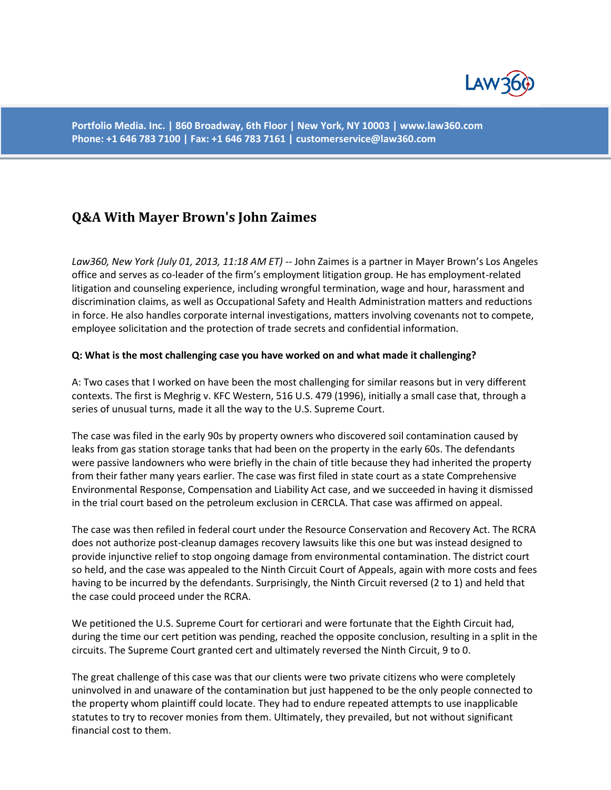

**Portfolio Media. Inc. | 860 Broadway, 6th Floor | New York, NY 10003 | www.law360.com Phone: +1 646 783 7100 | Fax: +1 646 783 7161 | customerservice@law360.com**

# **Q&A With Mayer Brown's John Zaimes**

*Law360, New York (July 01, 2013, 11:18 AM ET)* -- John Zaimes is a partner in Mayer Brown's Los Angeles office and serves as co-leader of the firm's employment litigation group. He has employment-related litigation and counseling experience, including wrongful termination, wage and hour, harassment and discrimination claims, as well as Occupational Safety and Health Administration matters and reductions in force. He also handles corporate internal investigations, matters involving covenants not to compete, employee solicitation and the protection of trade secrets and confidential information.

#### **Q: What is the most challenging case you have worked on and what made it challenging?**

A: Two cases that I worked on have been the most challenging for similar reasons but in very different contexts. The first is Meghrig v. KFC Western, 516 U.S. 479 (1996), initially a small case that, through a series of unusual turns, made it all the way to the U.S. Supreme Court.

The case was filed in the early 90s by property owners who discovered soil contamination caused by leaks from gas station storage tanks that had been on the property in the early 60s. The defendants were passive landowners who were briefly in the chain of title because they had inherited the property from their father many years earlier. The case was first filed in state court as a state Comprehensive Environmental Response, Compensation and Liability Act case, and we succeeded in having it dismissed in the trial court based on the petroleum exclusion in CERCLA. That case was affirmed on appeal.

The case was then refiled in federal court under the Resource Conservation and Recovery Act. The RCRA does not authorize post-cleanup damages recovery lawsuits like this one but was instead designed to provide injunctive relief to stop ongoing damage from environmental contamination. The district court so held, and the case was appealed to the Ninth Circuit Court of Appeals, again with more costs and fees having to be incurred by the defendants. Surprisingly, the Ninth Circuit reversed (2 to 1) and held that the case could proceed under the RCRA.

We petitioned the U.S. Supreme Court for certiorari and were fortunate that the Eighth Circuit had, during the time our cert petition was pending, reached the opposite conclusion, resulting in a split in the circuits. The Supreme Court granted cert and ultimately reversed the Ninth Circuit, 9 to 0.

The great challenge of this case was that our clients were two private citizens who were completely uninvolved in and unaware of the contamination but just happened to be the only people connected to the property whom plaintiff could locate. They had to endure repeated attempts to use inapplicable statutes to try to recover monies from them. Ultimately, they prevailed, but not without significant financial cost to them.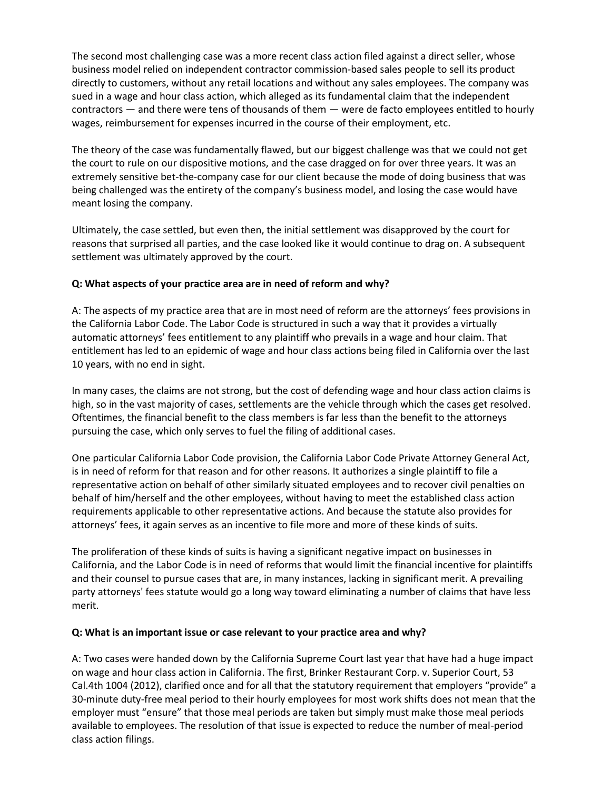The second most challenging case was a more recent class action filed against a direct seller, whose business model relied on independent contractor commission-based sales people to sell its product directly to customers, without any retail locations and without any sales employees. The company was sued in a wage and hour class action, which alleged as its fundamental claim that the independent contractors — and there were tens of thousands of them — were de facto employees entitled to hourly wages, reimbursement for expenses incurred in the course of their employment, etc.

The theory of the case was fundamentally flawed, but our biggest challenge was that we could not get the court to rule on our dispositive motions, and the case dragged on for over three years. It was an extremely sensitive bet-the-company case for our client because the mode of doing business that was being challenged was the entirety of the company's business model, and losing the case would have meant losing the company.

Ultimately, the case settled, but even then, the initial settlement was disapproved by the court for reasons that surprised all parties, and the case looked like it would continue to drag on. A subsequent settlement was ultimately approved by the court.

## **Q: What aspects of your practice area are in need of reform and why?**

A: The aspects of my practice area that are in most need of reform are the attorneys' fees provisions in the California Labor Code. The Labor Code is structured in such a way that it provides a virtually automatic attorneys' fees entitlement to any plaintiff who prevails in a wage and hour claim. That entitlement has led to an epidemic of wage and hour class actions being filed in California over the last 10 years, with no end in sight.

In many cases, the claims are not strong, but the cost of defending wage and hour class action claims is high, so in the vast majority of cases, settlements are the vehicle through which the cases get resolved. Oftentimes, the financial benefit to the class members is far less than the benefit to the attorneys pursuing the case, which only serves to fuel the filing of additional cases.

One particular California Labor Code provision, the California Labor Code Private Attorney General Act, is in need of reform for that reason and for other reasons. It authorizes a single plaintiff to file a representative action on behalf of other similarly situated employees and to recover civil penalties on behalf of him/herself and the other employees, without having to meet the established class action requirements applicable to other representative actions. And because the statute also provides for attorneys' fees, it again serves as an incentive to file more and more of these kinds of suits.

The proliferation of these kinds of suits is having a significant negative impact on businesses in California, and the Labor Code is in need of reforms that would limit the financial incentive for plaintiffs and their counsel to pursue cases that are, in many instances, lacking in significant merit. A prevailing party attorneys' fees statute would go a long way toward eliminating a number of claims that have less merit.

#### **Q: What is an important issue or case relevant to your practice area and why?**

A: Two cases were handed down by the California Supreme Court last year that have had a huge impact on wage and hour class action in California. The first, Brinker Restaurant Corp. v. Superior Court, 53 Cal.4th 1004 (2012), clarified once and for all that the statutory requirement that employers "provide" a 30-minute duty-free meal period to their hourly employees for most work shifts does not mean that the employer must "ensure" that those meal periods are taken but simply must make those meal periods available to employees. The resolution of that issue is expected to reduce the number of meal-period class action filings.